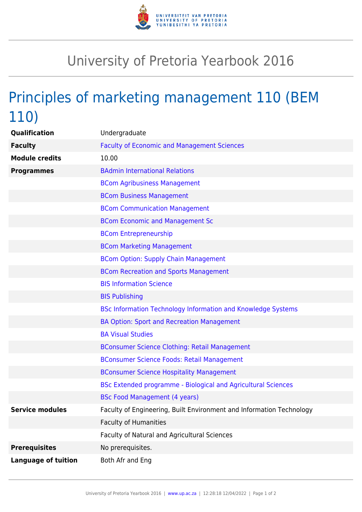

## University of Pretoria Yearbook 2016

## Principles of marketing management 110 (BEM 110)

| Qualification              | Undergraduate                                                        |
|----------------------------|----------------------------------------------------------------------|
| <b>Faculty</b>             | <b>Faculty of Economic and Management Sciences</b>                   |
| <b>Module credits</b>      | 10.00                                                                |
| <b>Programmes</b>          | <b>BAdmin International Relations</b>                                |
|                            | <b>BCom Agribusiness Management</b>                                  |
|                            | <b>BCom Business Management</b>                                      |
|                            | <b>BCom Communication Management</b>                                 |
|                            | <b>BCom Economic and Management Sc</b>                               |
|                            | <b>BCom Entrepreneurship</b>                                         |
|                            | <b>BCom Marketing Management</b>                                     |
|                            | <b>BCom Option: Supply Chain Management</b>                          |
|                            | <b>BCom Recreation and Sports Management</b>                         |
|                            | <b>BIS Information Science</b>                                       |
|                            | <b>BIS Publishing</b>                                                |
|                            | <b>BSc Information Technology Information and Knowledge Systems</b>  |
|                            | <b>BA Option: Sport and Recreation Management</b>                    |
|                            | <b>BA Visual Studies</b>                                             |
|                            | <b>BConsumer Science Clothing: Retail Management</b>                 |
|                            | <b>BConsumer Science Foods: Retail Management</b>                    |
|                            | <b>BConsumer Science Hospitality Management</b>                      |
|                            | BSc Extended programme - Biological and Agricultural Sciences        |
|                            | <b>BSc Food Management (4 years)</b>                                 |
| <b>Service modules</b>     | Faculty of Engineering, Built Environment and Information Technology |
|                            | <b>Faculty of Humanities</b>                                         |
|                            | Faculty of Natural and Agricultural Sciences                         |
| <b>Prerequisites</b>       | No prerequisites.                                                    |
| <b>Language of tuition</b> | Both Afr and Eng                                                     |